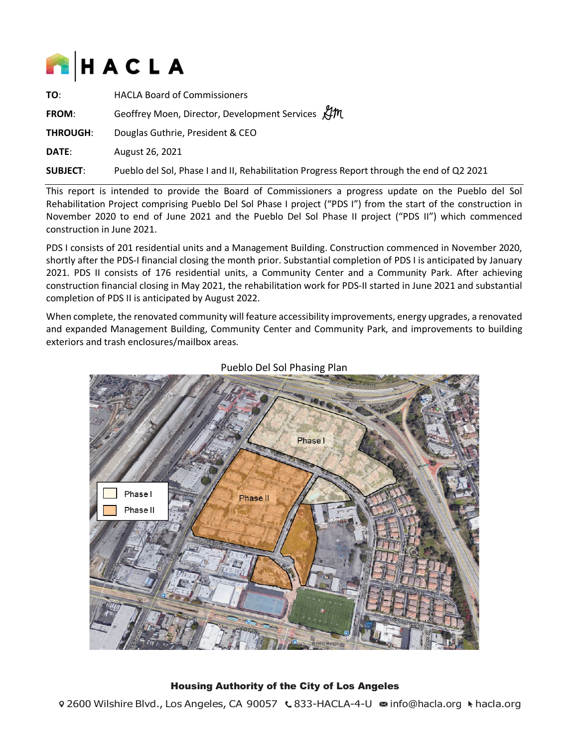

| TO:             | <b>HACLA Board of Commissioners</b>                                                       |
|-----------------|-------------------------------------------------------------------------------------------|
| <b>FROM:</b>    | Geoffrey Moen, Director, Development Services KIM                                         |
| <b>THROUGH:</b> | Douglas Guthrie, President & CEO Druglas Cluthrie                                         |
| <b>DATE:</b>    | August 26, 2021                                                                           |
| <b>SUBJECT:</b> | Pueblo del Sol, Phase I and II, Rehabilitation Progress Report through the end of Q2 2021 |

This report is intended to provide the Board of Commissioners a progress update on the Pueblo del Sol Rehabilitation Project comprising Pueblo Del Sol Phase I project ("PDS I") from the start of the construction in November 2020 to end of June 2021 and the Pueblo Del Sol Phase II project ("PDS II") which commenced construction in June 2021.

PDS I consists of 201 residential units and a Management Building. Construction commenced in November 2020, shortly after the PDS-I financial closing the month prior. Substantial completion of PDS I is anticipated by January 2021. PDS II consists of 176 residential units, a Community Center and a Community Park. After achieving construction financial closing in May 2021, the rehabilitation work for PDS-II started in June 2021 and substantial completion of PDS II is anticipated by August 2022.

When complete, the renovated community will feature accessibility improvements, energy upgrades, a renovated and expanded Management Building, Community Center and Community Park, and improvements to building exteriors and trash enclosures/mailbox areas.



Pueblo Del Sol Phasing Plan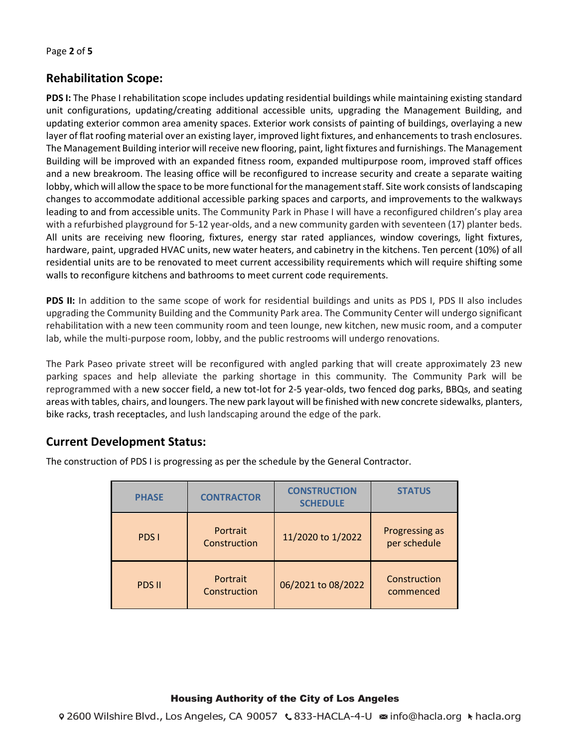# **Rehabilitation Scope:**

**PDS I:** The Phase I rehabilitation scope includes updating residential buildings while maintaining existing standard unit configurations, updating/creating additional accessible units, upgrading the Management Building, and updating exterior common area amenity spaces. Exterior work consists of painting of buildings, overlaying a new layer of flat roofing material over an existing layer, improved light fixtures, and enhancements to trash enclosures. The Management Building interior will receive new flooring, paint, light fixtures and furnishings. The Management Building will be improved with an expanded fitness room, expanded multipurpose room, improved staff offices and a new breakroom. The leasing office will be reconfigured to increase security and create a separate waiting lobby, which will allow the space to be more functional for the management staff. Site work consists of landscaping changes to accommodate additional accessible parking spaces and carports, and improvements to the walkways leading to and from accessible units. The Community Park in Phase I will have a reconfigured children's play area with a refurbished playground for 5-12 year-olds, and a new community garden with seventeen (17) planter beds. All units are receiving new flooring, fixtures, energy star rated appliances, window coverings, light fixtures, hardware, paint, upgraded HVAC units, new water heaters, and cabinetry in the kitchens. Ten percent (10%) of all residential units are to be renovated to meet current accessibility requirements which will require shifting some walls to reconfigure kitchens and bathrooms to meet current code requirements.

PDS II: In addition to the same scope of work for residential buildings and units as PDS I, PDS II also includes upgrading the Community Building and the Community Park area. The Community Center will undergo significant rehabilitation with a new teen community room and teen lounge, new kitchen, new music room, and a computer lab, while the multi-purpose room, lobby, and the public restrooms will undergo renovations.

The Park Paseo private street will be reconfigured with angled parking that will create approximately 23 new parking spaces and help alleviate the parking shortage in this community. The Community Park will be reprogrammed with a new soccer field, a new tot-lot for 2-5 year-olds, two fenced dog parks, BBQs, and seating areas with tables, chairs, and loungers. The new park layout will be finished with new concrete sidewalks, planters, bike racks, trash receptacles, and lush landscaping around the edge of the park.

### **Current Development Status:**

| <b>PHASE</b>  | <b>CONTRACTOR</b>        | <b>CONSTRUCTION</b><br><b>SCHEDULE</b> | <b>STATUS</b>                  |
|---------------|--------------------------|----------------------------------------|--------------------------------|
| PDS I         | Portrait<br>Construction | 11/2020 to 1/2022                      | Progressing as<br>per schedule |
| <b>PDS II</b> | Portrait<br>Construction | 06/2021 to 08/2022                     | Construction<br>commenced      |

The construction of PDS I is progressing as per the schedule by the General Contractor.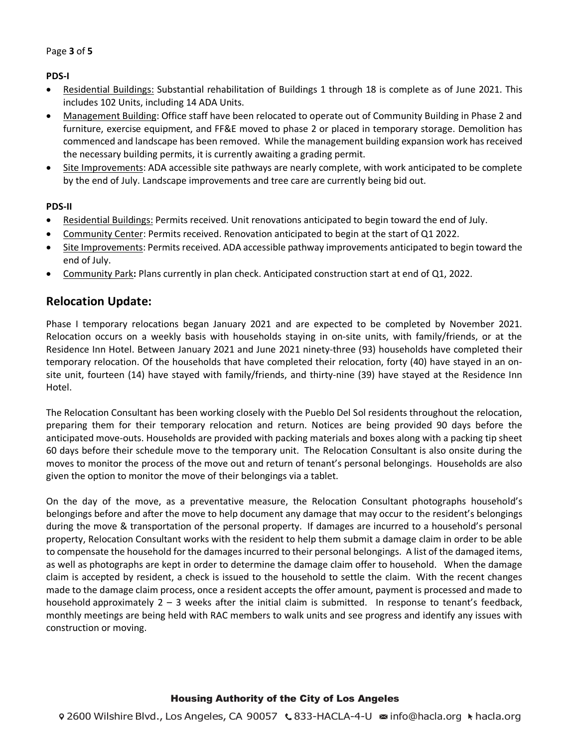**PDS-I**

- Residential Buildings: Substantial rehabilitation of Buildings 1 through 18 is complete as of June 2021. This includes 102 Units, including 14 ADA Units.
- Management Building: Office staff have been relocated to operate out of Community Building in Phase 2 and furniture, exercise equipment, and FF&E moved to phase 2 or placed in temporary storage. Demolition has commenced and landscape has been removed. While the management building expansion work has received the necessary building permits, it is currently awaiting a grading permit.
- Site Improvements: ADA accessible site pathways are nearly complete, with work anticipated to be complete by the end of July. Landscape improvements and tree care are currently being bid out.

### **PDS-II**

- Residential Buildings: Permits received. Unit renovations anticipated to begin toward the end of July.
- Community Center: Permits received. Renovation anticipated to begin at the start of Q1 2022.
- Site Improvements: Permits received. ADA accessible pathway improvements anticipated to begin toward the end of July.
- Community Park**:** Plans currently in plan check. Anticipated construction start at end of Q1, 2022.

### **Relocation Update:**

Phase I temporary relocations began January 2021 and are expected to be completed by November 2021. Relocation occurs on a weekly basis with households staying in on-site units, with family/friends, or at the Residence Inn Hotel. Between January 2021 and June 2021 ninety-three (93) households have completed their temporary relocation. Of the households that have completed their relocation, forty (40) have stayed in an onsite unit, fourteen (14) have stayed with family/friends, and thirty-nine (39) have stayed at the Residence Inn Hotel.

The Relocation Consultant has been working closely with the Pueblo Del Sol residents throughout the relocation, preparing them for their temporary relocation and return. Notices are being provided 90 days before the anticipated move-outs. Households are provided with packing materials and boxes along with a packing tip sheet 60 days before their schedule move to the temporary unit. The Relocation Consultant is also onsite during the moves to monitor the process of the move out and return of tenant's personal belongings. Households are also given the option to monitor the move of their belongings via a tablet.

On the day of the move, as a preventative measure, the Relocation Consultant photographs household's belongings before and after the move to help document any damage that may occur to the resident's belongings during the move & transportation of the personal property. If damages are incurred to a household's personal property, Relocation Consultant works with the resident to help them submit a damage claim in order to be able to compensate the household for the damages incurred to their personal belongings. A list of the damaged items, as well as photographs are kept in order to determine the damage claim offer to household. When the damage claim is accepted by resident, a check is issued to the household to settle the claim. With the recent changes made to the damage claim process, once a resident accepts the offer amount, payment is processed and made to household approximately 2 – 3 weeks after the initial claim is submitted. In response to tenant's feedback, monthly meetings are being held with RAC members to walk units and see progress and identify any issues with construction or moving.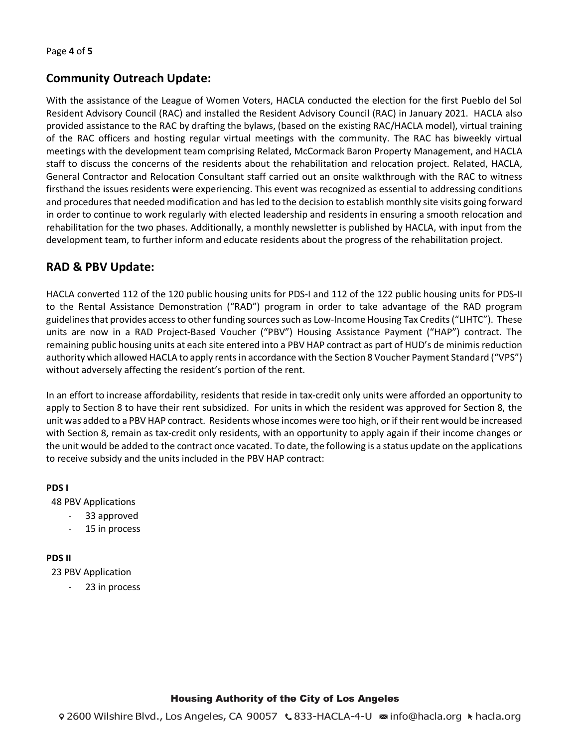# **Community Outreach Update:**

With the assistance of the League of Women Voters, HACLA conducted the election for the first Pueblo del Sol Resident Advisory Council (RAC) and installed the Resident Advisory Council (RAC) in January 2021. HACLA also provided assistance to the RAC by drafting the bylaws, (based on the existing RAC/HACLA model), virtual training of the RAC officers and hosting regular virtual meetings with the community. The RAC has biweekly virtual meetings with the development team comprising Related, McCormack Baron Property Management, and HACLA staff to discuss the concerns of the residents about the rehabilitation and relocation project. Related, HACLA, General Contractor and Relocation Consultant staff carried out an onsite walkthrough with the RAC to witness firsthand the issues residents were experiencing. This event was recognized as essential to addressing conditions and procedures that needed modification and has led to the decision to establish monthly site visits going forward in order to continue to work regularly with elected leadership and residents in ensuring a smooth relocation and rehabilitation for the two phases. Additionally, a monthly newsletter is published by HACLA, with input from the development team, to further inform and educate residents about the progress of the rehabilitation project.

# **RAD & PBV Update:**

HACLA converted 112 of the 120 public housing units for PDS-I and 112 of the 122 public housing units for PDS-II to the Rental Assistance Demonstration ("RAD") program in order to take advantage of the RAD program guidelines that provides access to other funding sources such as Low-Income Housing Tax Credits ("LIHTC"). These units are now in a RAD Project-Based Voucher ("PBV") Housing Assistance Payment ("HAP") contract. The remaining public housing units at each site entered into a PBV HAP contract as part of HUD's de minimis reduction authority which allowed HACLA to apply rents in accordance with the Section 8 Voucher Payment Standard ("VPS") without adversely affecting the resident's portion of the rent.

In an effort to increase affordability, residents that reside in tax-credit only units were afforded an opportunity to apply to Section 8 to have their rent subsidized. For units in which the resident was approved for Section 8, the unit was added to a PBV HAP contract. Residents whose incomes were too high, or if their rent would be increased with Section 8, remain as tax-credit only residents, with an opportunity to apply again if their income changes or the unit would be added to the contract once vacated. To date, the following is a status update on the applications to receive subsidy and the units included in the PBV HAP contract:

### **PDS I**

48 PBV Applications

- 33 approved
- 15 in process

#### **PDS II**

23 PBV Application

23 in process